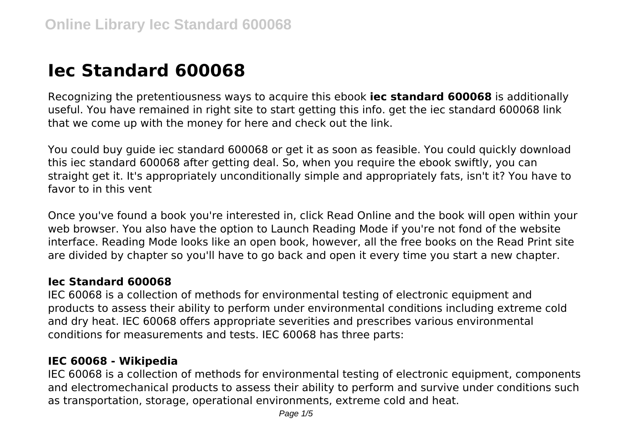# **Iec Standard 600068**

Recognizing the pretentiousness ways to acquire this ebook **iec standard 600068** is additionally useful. You have remained in right site to start getting this info. get the iec standard 600068 link that we come up with the money for here and check out the link.

You could buy guide iec standard 600068 or get it as soon as feasible. You could quickly download this iec standard 600068 after getting deal. So, when you require the ebook swiftly, you can straight get it. It's appropriately unconditionally simple and appropriately fats, isn't it? You have to favor to in this vent

Once you've found a book you're interested in, click Read Online and the book will open within your web browser. You also have the option to Launch Reading Mode if you're not fond of the website interface. Reading Mode looks like an open book, however, all the free books on the Read Print site are divided by chapter so you'll have to go back and open it every time you start a new chapter.

#### **Iec Standard 600068**

IEC 60068 is a collection of methods for environmental testing of electronic equipment and products to assess their ability to perform under environmental conditions including extreme cold and dry heat. IEC 60068 offers appropriate severities and prescribes various environmental conditions for measurements and tests. IEC 60068 has three parts:

#### **IEC 60068 - Wikipedia**

IEC 60068 is a collection of methods for environmental testing of electronic equipment, components and electromechanical products to assess their ability to perform and survive under conditions such as transportation, storage, operational environments, extreme cold and heat.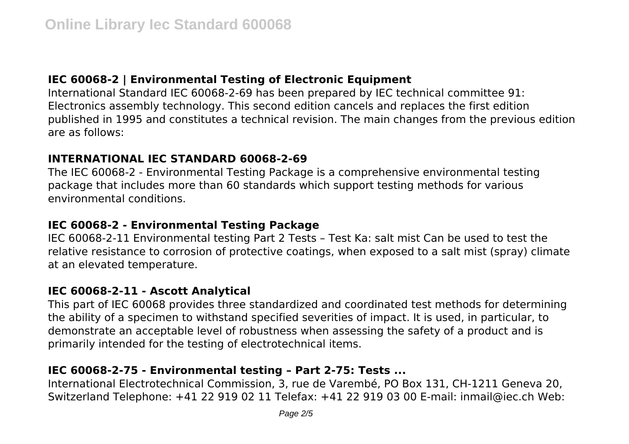## **IEC 60068-2 | Environmental Testing of Electronic Equipment**

International Standard IEC 60068-2-69 has been prepared by IEC technical committee 91: Electronics assembly technology. This second edition cancels and replaces the first edition published in 1995 and constitutes a technical revision. The main changes from the previous edition are as follows:

## **INTERNATIONAL IEC STANDARD 60068-2-69**

The IEC 60068-2 - Environmental Testing Package is a comprehensive environmental testing package that includes more than 60 standards which support testing methods for various environmental conditions.

## **IEC 60068-2 - Environmental Testing Package**

IEC 60068-2-11 Environmental testing Part 2 Tests – Test Ka: salt mist Can be used to test the relative resistance to corrosion of protective coatings, when exposed to a salt mist (spray) climate at an elevated temperature.

## **IEC 60068-2-11 - Ascott Analytical**

This part of IEC 60068 provides three standardized and coordinated test methods for determining the ability of a specimen to withstand specified severities of impact. It is used, in particular, to demonstrate an acceptable level of robustness when assessing the safety of a product and is primarily intended for the testing of electrotechnical items.

# **IEC 60068-2-75 - Environmental testing – Part 2-75: Tests ...**

International Electrotechnical Commission, 3, rue de Varembé, PO Box 131, CH-1211 Geneva 20, Switzerland Telephone: +41 22 919 02 11 Telefax: +41 22 919 03 00 E-mail: inmail@iec.ch Web: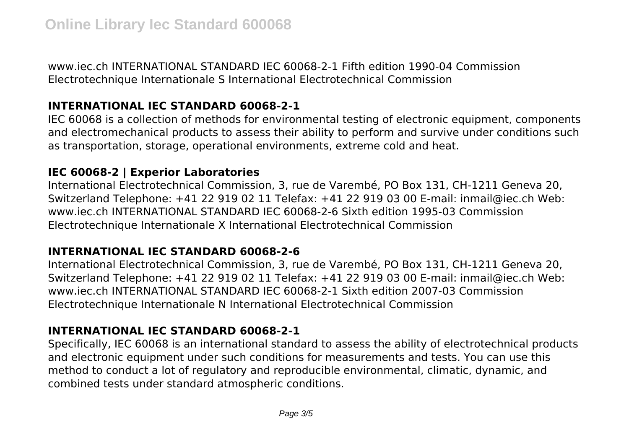www.iec.ch INTERNATIONAL STANDARD IEC 60068-2-1 Fifth edition 1990-04 Commission Electrotechnique Internationale S International Electrotechnical Commission

## **INTERNATIONAL IEC STANDARD 60068-2-1**

IEC 60068 is a collection of methods for environmental testing of electronic equipment, components and electromechanical products to assess their ability to perform and survive under conditions such as transportation, storage, operational environments, extreme cold and heat.

#### **IEC 60068-2 | Experior Laboratories**

International Electrotechnical Commission, 3, rue de Varembé, PO Box 131, CH-1211 Geneva 20, Switzerland Telephone: +41 22 919 02 11 Telefax: +41 22 919 03 00 E-mail: inmail@iec.ch Web: www.iec.ch INTERNATIONAL STANDARD IEC 60068-2-6 Sixth edition 1995-03 Commission Electrotechnique Internationale X International Electrotechnical Commission

#### **INTERNATIONAL IEC STANDARD 60068-2-6**

International Electrotechnical Commission, 3, rue de Varembé, PO Box 131, CH-1211 Geneva 20, Switzerland Telephone: +41 22 919 02 11 Telefax: +41 22 919 03 00 E-mail: inmail@iec.ch Web: www.iec.ch INTERNATIONAL STANDARD IEC 60068-2-1 Sixth edition 2007-03 Commission Electrotechnique Internationale N International Electrotechnical Commission

## **INTERNATIONAL IEC STANDARD 60068-2-1**

Specifically, IEC 60068 is an international standard to assess the ability of electrotechnical products and electronic equipment under such conditions for measurements and tests. You can use this method to conduct a lot of regulatory and reproducible environmental, climatic, dynamic, and combined tests under standard atmospheric conditions.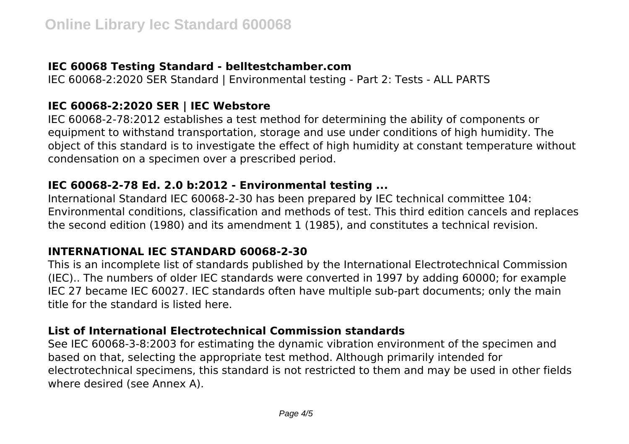#### **IEC 60068 Testing Standard - belltestchamber.com**

IEC 60068-2:2020 SER Standard | Environmental testing - Part 2: Tests - ALL PARTS

## **IEC 60068-2:2020 SER | IEC Webstore**

IEC 60068-2-78:2012 establishes a test method for determining the ability of components or equipment to withstand transportation, storage and use under conditions of high humidity. The object of this standard is to investigate the effect of high humidity at constant temperature without condensation on a specimen over a prescribed period.

#### **IEC 60068-2-78 Ed. 2.0 b:2012 - Environmental testing ...**

International Standard IEC 60068-2-30 has been prepared by IEC technical committee 104: Environmental conditions, classification and methods of test. This third edition cancels and replaces the second edition (1980) and its amendment 1 (1985), and constitutes a technical revision.

#### **INTERNATIONAL IEC STANDARD 60068-2-30**

This is an incomplete list of standards published by the International Electrotechnical Commission (IEC).. The numbers of older IEC standards were converted in 1997 by adding 60000; for example IEC 27 became IEC 60027. IEC standards often have multiple sub-part documents; only the main title for the standard is listed here.

## **List of International Electrotechnical Commission standards**

See IEC 60068-3-8:2003 for estimating the dynamic vibration environment of the specimen and based on that, selecting the appropriate test method. Although primarily intended for electrotechnical specimens, this standard is not restricted to them and may be used in other fields where desired (see Annex A).